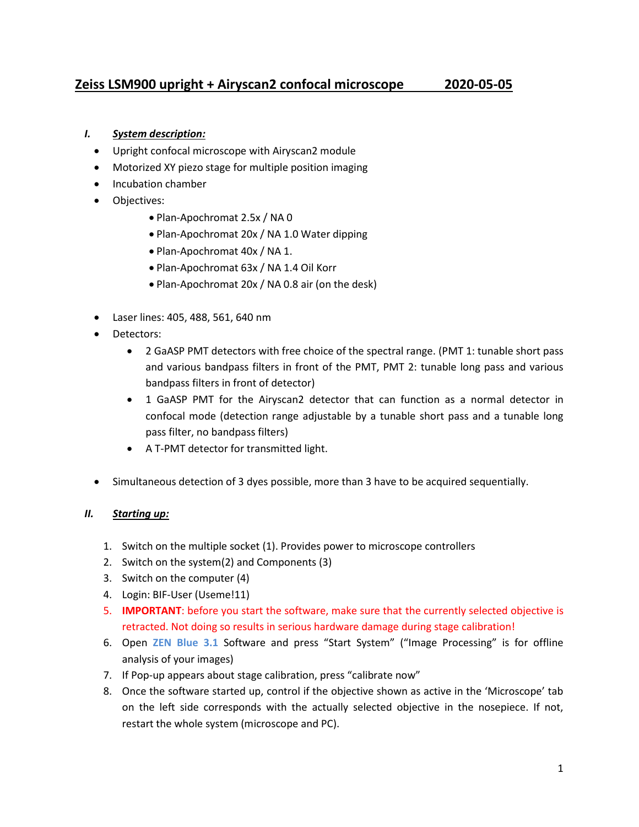# **Zeiss LSM900 upright + Airyscan2 confocal microscope 2020-05-05**

# *I. System description:*

- Upright confocal microscope with Airyscan2 module
- Motorized XY piezo stage for multiple position imaging
- Incubation chamber
- Objectives:
	- Plan-Apochromat 2.5x / NA 0
	- Plan-Apochromat 20x / NA 1.0 Water dipping
	- Plan-Apochromat 40x / NA 1.
	- Plan-Apochromat 63x / NA 1.4 Oil Korr
	- Plan-Apochromat 20x / NA 0.8 air (on the desk)
- Laser lines: 405, 488, 561, 640 nm
- Detectors:
	- 2 GaASP PMT detectors with free choice of the spectral range. (PMT 1: tunable short pass and various bandpass filters in front of the PMT, PMT 2: tunable long pass and various bandpass filters in front of detector)
	- 1 GaASP PMT for the Airyscan2 detector that can function as a normal detector in confocal mode (detection range adjustable by a tunable short pass and a tunable long pass filter, no bandpass filters)
	- A T-PMT detector for transmitted light.
- Simultaneous detection of 3 dyes possible, more than 3 have to be acquired sequentially.

# *II. Starting up:*

- 1. Switch on the multiple socket (1). Provides power to microscope controllers
- 2. Switch on the system(2) and Components (3)
- 3. Switch on the computer (4)
- 4. Login: BIF-User (Useme!11)
- 5. **IMPORTANT**: before you start the software, make sure that the currently selected objective is retracted. Not doing so results in serious hardware damage during stage calibration!
- 6. Open **ZEN Blue 3.1** Software and press "Start System" ("Image Processing" is for offline analysis of your images)
- 7. If Pop-up appears about stage calibration, press "calibrate now"
- 8. Once the software started up, control if the objective shown as active in the 'Microscope' tab on the left side corresponds with the actually selected objective in the nosepiece. If not, restart the whole system (microscope and PC).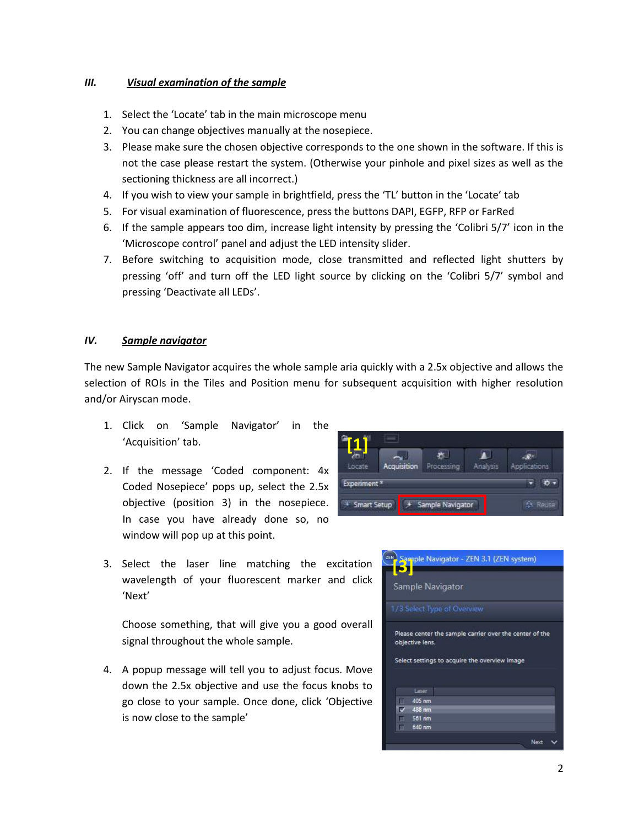#### *III. Visual examination of the sample*

- 1. Select the 'Locate' tab in the main microscope menu
- 2. You can change objectives manually at the nosepiece.
- 3. Please make sure the chosen objective corresponds to the one shown in the software. If this is not the case please restart the system. (Otherwise your pinhole and pixel sizes as well as the sectioning thickness are all incorrect.)
- 4. If you wish to view your sample in brightfield, press the 'TL' button in the 'Locate' tab
- 5. For visual examination of fluorescence, press the buttons DAPI, EGFP, RFP or FarRed
- 6. If the sample appears too dim, increase light intensity by pressing the 'Colibri 5/7' icon in the 'Microscope control' panel and adjust the LED intensity slider.
- 7. Before switching to acquisition mode, close transmitted and reflected light shutters by pressing 'off' and turn off the LED light source by clicking on the 'Colibri 5/7' symbol and pressing 'Deactivate all LEDs'.

#### *IV. Sample navigator*

The new Sample Navigator acquires the whole sample aria quickly with a 2.5x objective and allows the selection of ROIs in the Tiles and Position menu for subsequent acquisition with higher resolution and/or Airyscan mode.

- 1. Click on 'Sample Navigator' in the 'Acquisition' tab.
- 2. If the message 'Coded component: 4x Coded Nosepiece' pops up, select the 2.5x objective (position 3) in the nosepiece. In case you have already done so, no window will pop up at this point.



3. Select the laser line matching the excitation wavelength of your fluorescent marker and click 'Next'

Choose something, that will give you a good overall signal throughout the whole sample.

4. A popup message will tell you to adjust focus. Move down the 2.5x objective and use the focus knobs to go close to your sample. Once done, click 'Objective is now close to the sample'

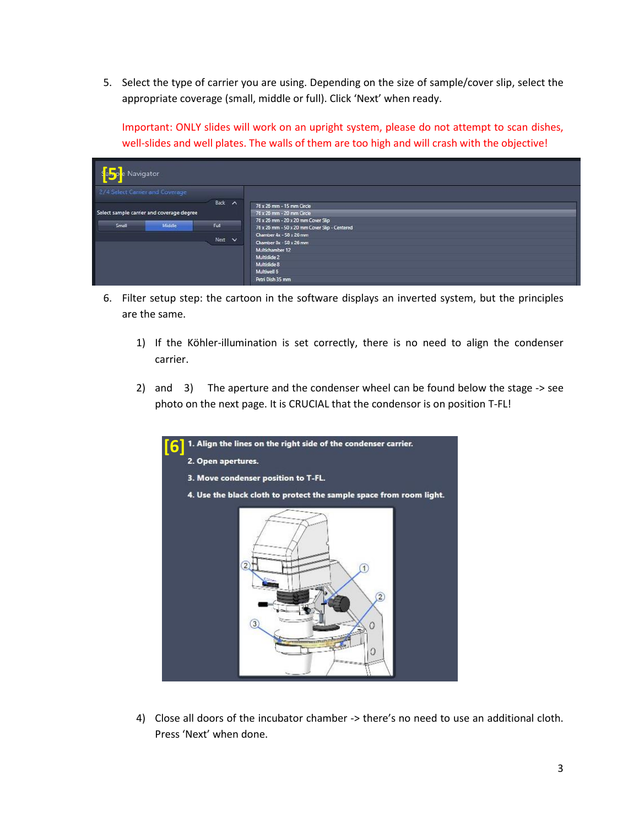5. Select the type of carrier you are using. Depending on the size of sample/cover slip, select the appropriate coverage (small, middle or full). Click 'Next' when ready.

Important: ONLY slides will work on an upright system, please do not attempt to scan dishes, well-slides and well plates. The walls of them are too high and will crash with the objective!

| Navigator                                 |        |                                               |
|-------------------------------------------|--------|-----------------------------------------------|
| 2/4 Select Carrier and Coverage           |        |                                               |
|                                           | Back A | 76 x 26 mm - 15 mm Circle                     |
| Select sample carrier and coverage degree |        | 76 x 26 mm - 20 mm Circle                     |
|                                           |        | 76 x 26 mm - 20 x 20 mm Cover Slip            |
| Middle<br>Small                           | Full   | 76 x 26 mm - 50 x 20 mm Cover Slip - Centered |
|                                           |        | Chamber 4x - 58 x 26 mm                       |
|                                           | Next v | Chamber 8x - 58 x 26 mm                       |
|                                           |        | Multichamber 12                               |
|                                           |        | Multislide 2                                  |
|                                           |        | Multislide 8                                  |
|                                           |        | Multiwell 6                                   |
|                                           |        | Petri Dish 35 mm                              |

- 6. Filter setup step: the cartoon in the software displays an inverted system, but the principles are the same.
	- 1) If the Köhler-illumination is set correctly, there is no need to align the condenser carrier.
	- 2) and 3) The aperture and the condenser wheel can be found below the stage -> see photo on the next page. It is CRUCIAL that the condensor is on position T-FL!



4) Close all doors of the incubator chamber -> there's no need to use an additional cloth. Press 'Next' when done.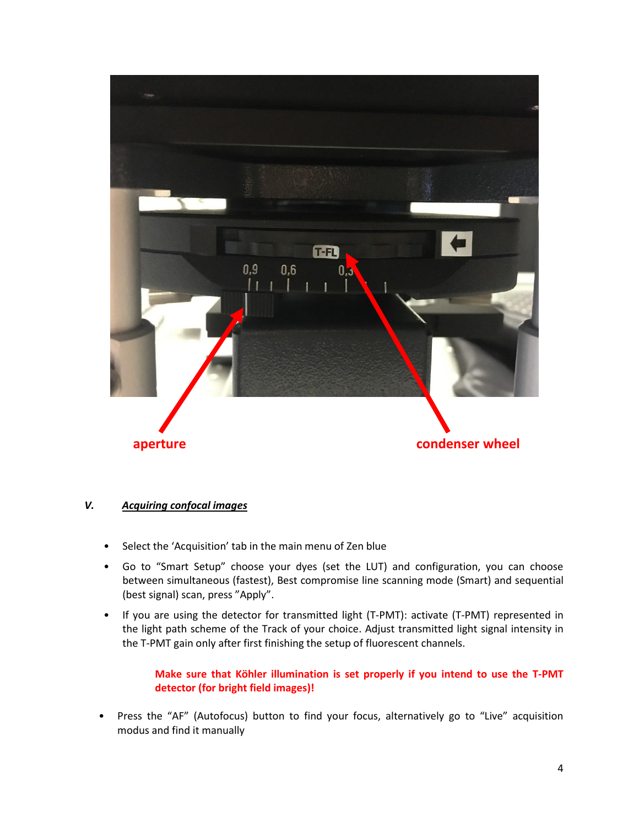

# *V. Acquiring confocal images*

- Select the 'Acquisition' tab in the main menu of Zen blue
- Go to "Smart Setup" choose your dyes (set the LUT) and configuration, you can choose between simultaneous (fastest), Best compromise line scanning mode (Smart) and sequential (best signal) scan, press "Apply".
- If you are using the detector for transmitted light (T-PMT): activate (T-PMT) represented in the light path scheme of the Track of your choice. Adjust transmitted light signal intensity in the T-PMT gain only after first finishing the setup of fluorescent channels.

# **Make sure that Köhler illumination is set properly if you intend to use the T-PMT detector (for bright field images)!**

• Press the "AF" (Autofocus) button to find your focus, alternatively go to "Live" acquisition modus and find it manually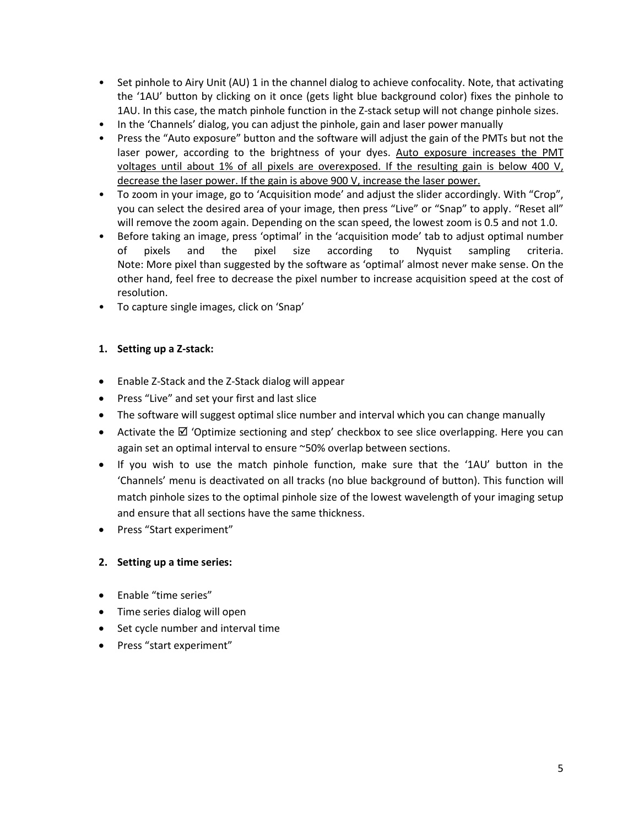- Set pinhole to Airy Unit (AU) 1 in the channel dialog to achieve confocality. Note, that activating the '1AU' button by clicking on it once (gets light blue background color) fixes the pinhole to 1AU. In this case, the match pinhole function in the Z-stack setup will not change pinhole sizes.
- In the 'Channels' dialog, you can adjust the pinhole, gain and laser power manually
- Press the "Auto exposure" button and the software will adjust the gain of the PMTs but not the laser power, according to the brightness of your dyes. Auto exposure increases the PMT voltages until about 1% of all pixels are overexposed. If the resulting gain is below 400 V, decrease the laser power. If the gain is above 900 V, increase the laser power.
- To zoom in your image, go to 'Acquisition mode' and adjust the slider accordingly. With "Crop", you can select the desired area of your image, then press "Live" or "Snap" to apply. "Reset all" will remove the zoom again. Depending on the scan speed, the lowest zoom is 0.5 and not 1.0.
- Before taking an image, press 'optimal' in the 'acquisition mode' tab to adjust optimal number of pixels and the pixel size according to Nyquist sampling criteria. Note: More pixel than suggested by the software as 'optimal' almost never make sense. On the other hand, feel free to decrease the pixel number to increase acquisition speed at the cost of resolution.
- To capture single images, click on 'Snap'

# **1. Setting up a Z-stack:**

- Enable Z-Stack and the Z-Stack dialog will appear
- Press "Live" and set your first and last slice
- The software will suggest optimal slice number and interval which you can change manually
- Activate the  $\boxtimes$  'Optimize sectioning and step' checkbox to see slice overlapping. Here you can again set an optimal interval to ensure ~50% overlap between sections.
- If you wish to use the match pinhole function, make sure that the '1AU' button in the 'Channels' menu is deactivated on all tracks (no blue background of button). This function will match pinhole sizes to the optimal pinhole size of the lowest wavelength of your imaging setup and ensure that all sections have the same thickness.
- Press "Start experiment"

# **2. Setting up a time series:**

- Enable "time series"
- Time series dialog will open
- Set cycle number and interval time
- Press "start experiment"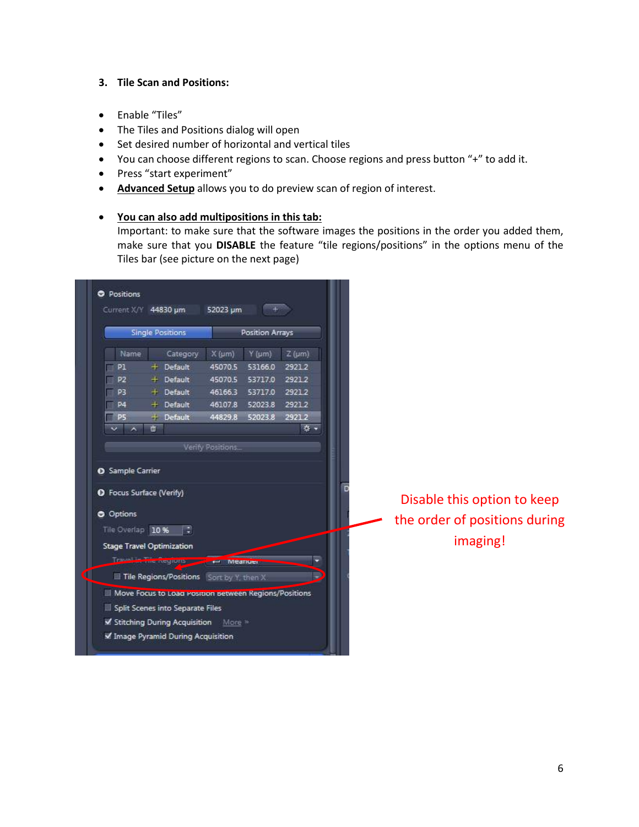#### **3. Tile Scan and Positions:**

- Enable "Tiles"
- The Tiles and Positions dialog will open
- Set desired number of horizontal and vertical tiles
- You can choose different regions to scan. Choose regions and press button "+" to add it.
- Press "start experiment"
- **Advanced Setup** allows you to do preview scan of region of interest.
- **You can also add multipositions in this tab:**

Important: to make sure that the software images the positions in the order you added them, make sure that you **DISABLE** the feature "tile regions/positions" in the options menu of the Tiles bar (see picture on the next page)

| <b>Single Positions</b>                                                 |                                                                                                                                                                                                                                                           |                                             | Position Arrays                                  |                               |  |                                                                          |
|-------------------------------------------------------------------------|-----------------------------------------------------------------------------------------------------------------------------------------------------------------------------------------------------------------------------------------------------------|---------------------------------------------|--------------------------------------------------|-------------------------------|--|--------------------------------------------------------------------------|
| Name<br>P1<br>P <sub>2</sub><br>P <sub>3</sub>                          | Category<br>$+$ Default<br>$+$ Default<br>$+$ Default                                                                                                                                                                                                     | $X(\mu m)$<br>45070.5<br>45070.5<br>46166.3 | $Y$ (um)<br>53166.0<br>53717.0<br>53717.0 2921.2 | $Z(\mu m)$<br>29212<br>2921.2 |  |                                                                          |
| <b>P4</b><br>P5<br>$\overline{\phantom{a}}$<br>$\overline{\phantom{a}}$ | $+$ Default<br>$+$ Default<br>ō                                                                                                                                                                                                                           | 46107.8<br>44829.8                          | 52023.8<br>52023.8                               | 2921.2<br>2921.2<br>参·        |  |                                                                          |
| <b>O</b> Options<br>Tile Overlap 10 %                                   | <b>O</b> Focus Surface (Verify)<br>-19<br><b>Stage Travel Optimization</b>                                                                                                                                                                                |                                             |                                                  | ٠                             |  | Disable this option to keep<br>the order of positions during<br>imaging! |
|                                                                         | Travel learne regions and the Meanuel<br>Tile Regions/Positions Sort by Y, then X<br>Move Focus to Loan Position between Regions/Positions<br>Split Scenes into Separate Files<br>Stitching During Acquisition More<br>M Image Pyramid During Acquisition |                                             |                                                  |                               |  |                                                                          |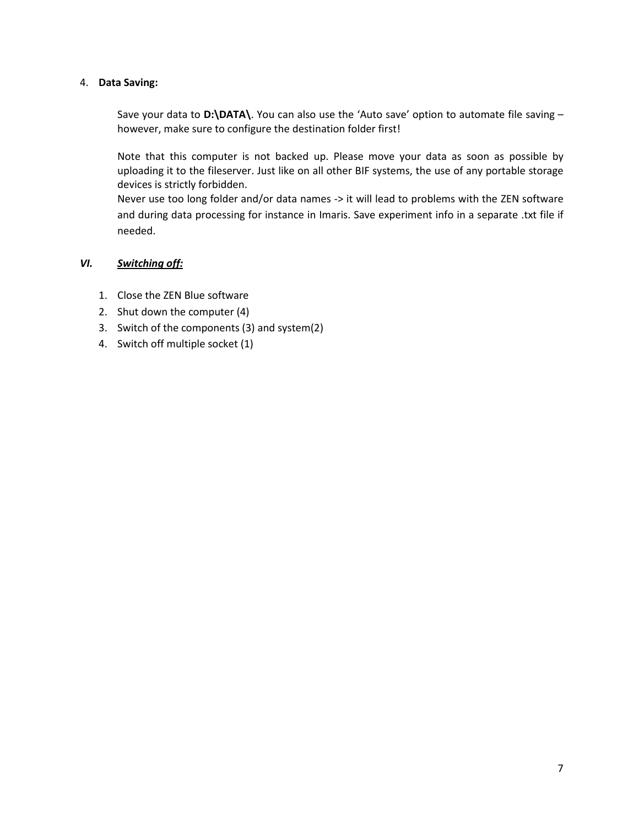#### 4. **Data Saving:**

Save your data to **D:\DATA\**. You can also use the 'Auto save' option to automate file saving – however, make sure to configure the destination folder first!

Note that this computer is not backed up. Please move your data as soon as possible by uploading it to the fileserver. Just like on all other BIF systems, the use of any portable storage devices is strictly forbidden.

Never use too long folder and/or data names -> it will lead to problems with the ZEN software and during data processing for instance in Imaris. Save experiment info in a separate .txt file if needed.

#### *VI. Switching off:*

- 1. Close the ZEN Blue software
- 2. Shut down the computer (4)
- 3. Switch of the components (3) and system(2)
- 4. Switch off multiple socket (1)